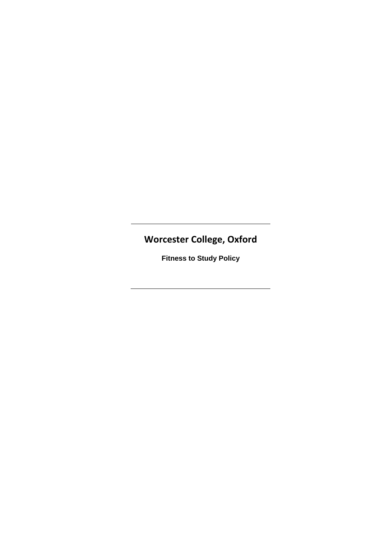# **Worcester College, Oxford**

**Fitness to Study Policy**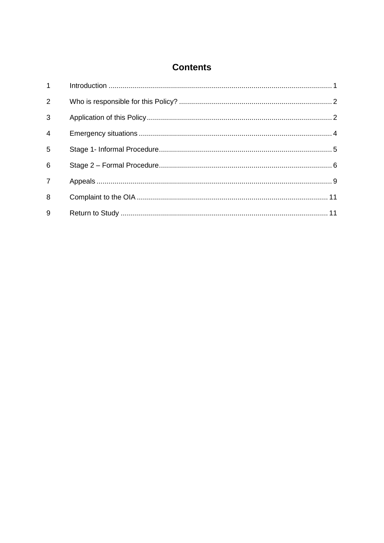# **Contents**

| $1 \quad \blacksquare$ |  |
|------------------------|--|
| 2                      |  |
| 3                      |  |
| $\overline{4}$         |  |
| 5                      |  |
| 6                      |  |
| $\overline{7}$         |  |
| 8                      |  |
| 9                      |  |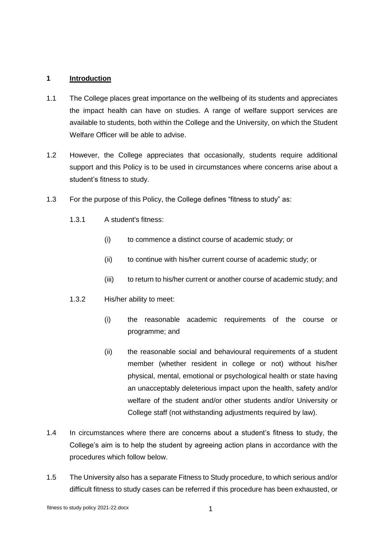#### **1 Introduction**

- 1.1 The College places great importance on the wellbeing of its students and appreciates the impact health can have on studies. A range of welfare support services are available to students, both within the College and the University, on which the Student Welfare Officer will be able to advise.
- 1.2 However, the College appreciates that occasionally, students require additional support and this Policy is to be used in circumstances where concerns arise about a student's fitness to study.
- 1.3 For the purpose of this Policy, the College defines "fitness to study" as:
	- 1.3.1 A student's fitness:
		- (i) to commence a distinct course of academic study; or
		- (ii) to continue with his/her current course of academic study; or
		- (iii) to return to his/her current or another course of academic study; and
	- 1.3.2 His/her ability to meet:
		- (i) the reasonable academic requirements of the course or programme; and
		- (ii) the reasonable social and behavioural requirements of a student member (whether resident in college or not) without his/her physical, mental, emotional or psychological health or state having an unacceptably deleterious impact upon the health, safety and/or welfare of the student and/or other students and/or University or College staff (not withstanding adjustments required by law).
- 1.4 In circumstances where there are concerns about a student's fitness to study, the College's aim is to help the student by agreeing action plans in accordance with the procedures which follow below.
- 1.5 The University also has a separate Fitness to Study procedure, to which serious and/or difficult fitness to study cases can be referred if this procedure has been exhausted, or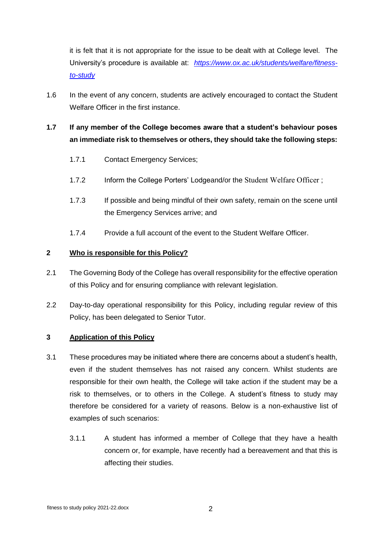it is felt that it is not appropriate for the issue to be dealt with at College level. The University's procedure is available at: *[https://www.ox.ac.uk/students/welfare/fitness](https://www.ox.ac.uk/students/welfare/fitness-to-study)[to-study](https://www.ox.ac.uk/students/welfare/fitness-to-study)*

1.6 In the event of any concern, students are actively encouraged to contact the Student Welfare Officer in the first instance.

# **1.7 If any member of the College becomes aware that a student's behaviour poses an immediate risk to themselves or others, they should take the following steps:**

- 1.7.1 Contact Emergency Services;
- 1.7.2 Inform the College Porters' Lodgeand/or the Student Welfare Officer ;
- 1.7.3 If possible and being mindful of their own safety, remain on the scene until the Emergency Services arrive; and
- 1.7.4 Provide a full account of the event to the Student Welfare Officer.

# **2 Who is responsible for this Policy?**

- 2.1 The Governing Body of the College has overall responsibility for the effective operation of this Policy and for ensuring compliance with relevant legislation.
- 2.2 Day-to-day operational responsibility for this Policy, including regular review of this Policy, has been delegated to Senior Tutor.

#### **3 Application of this Policy**

- 3.1 These procedures may be initiated where there are concerns about a student's health, even if the student themselves has not raised any concern. Whilst students are responsible for their own health, the College will take action if the student may be a risk to themselves, or to others in the College. A student's fitness to study may therefore be considered for a variety of reasons. Below is a non-exhaustive list of examples of such scenarios:
	- 3.1.1 A student has informed a member of College that they have a health concern or, for example, have recently had a bereavement and that this is affecting their studies.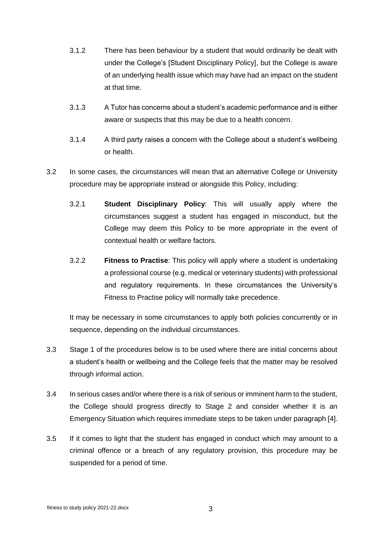- 3.1.2 There has been behaviour by a student that would ordinarily be dealt with under the College's [Student Disciplinary Policy], but the College is aware of an underlying health issue which may have had an impact on the student at that time.
- 3.1.3 A Tutor has concerns about a student's academic performance and is either aware or suspects that this may be due to a health concern.
- 3.1.4 A third party raises a concern with the College about a student's wellbeing or health.
- 3.2 In some cases, the circumstances will mean that an alternative College or University procedure may be appropriate instead or alongside this Policy, including:
	- 3.2.1 **Student Disciplinary Policy**: This will usually apply where the circumstances suggest a student has engaged in misconduct, but the College may deem this Policy to be more appropriate in the event of contextual health or welfare factors.
	- 3.2.2 **Fitness to Practise**: This policy will apply where a student is undertaking a professional course (e.g. medical or veterinary students) with professional and regulatory requirements. In these circumstances the University's Fitness to Practise policy will normally take precedence.

It may be necessary in some circumstances to apply both policies concurrently or in sequence, depending on the individual circumstances.

- 3.3 Stage 1 of the procedures below is to be used where there are initial concerns about a student's health or wellbeing and the College feels that the matter may be resolved through informal action.
- 3.4 In serious cases and/or where there is a risk of serious or imminent harm to the student, the College should progress directly to Stage 2 and consider whether it is an Emergency Situation which requires immediate steps to be taken under paragraph [\[4\]](#page-5-0).
- 3.5 If it comes to light that the student has engaged in conduct which may amount to a criminal offence or a breach of any regulatory provision, this procedure may be suspended for a period of time.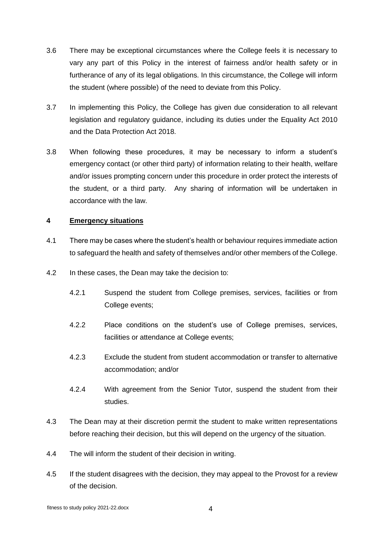- 3.6 There may be exceptional circumstances where the College feels it is necessary to vary any part of this Policy in the interest of fairness and/or health safety or in furtherance of any of its legal obligations. In this circumstance, the College will inform the student (where possible) of the need to deviate from this Policy.
- 3.7 In implementing this Policy, the College has given due consideration to all relevant legislation and regulatory guidance, including its duties under the Equality Act 2010 and the Data Protection Act 2018.
- 3.8 When following these procedures, it may be necessary to inform a student's emergency contact (or other third party) of information relating to their health, welfare and/or issues prompting concern under this procedure in order protect the interests of the student, or a third party. Any sharing of information will be undertaken in accordance with the law.

# <span id="page-5-0"></span>**4 Emergency situations**

- 4.1 There may be cases where the student's health or behaviour requires immediate action to safeguard the health and safety of themselves and/or other members of the College.
- 4.2 In these cases, the Dean may take the decision to:
	- 4.2.1 Suspend the student from College premises, services, facilities or from College events;
	- 4.2.2 Place conditions on the student's use of College premises, services, facilities or attendance at College events;
	- 4.2.3 Exclude the student from student accommodation or transfer to alternative accommodation; and/or
	- 4.2.4 With agreement from the Senior Tutor, suspend the student from their studies.
- 4.3 The Dean may at their discretion permit the student to make written representations before reaching their decision, but this will depend on the urgency of the situation.
- 4.4 The will inform the student of their decision in writing.
- 4.5 If the student disagrees with the decision, they may appeal to the Provost for a review of the decision.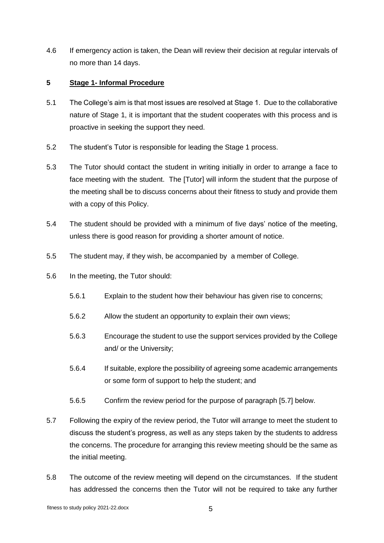4.6 If emergency action is taken, the Dean will review their decision at regular intervals of no more than 14 days.

#### **5 Stage 1- Informal Procedure**

- 5.1 The College's aim is that most issues are resolved at Stage 1. Due to the collaborative nature of Stage 1, it is important that the student cooperates with this process and is proactive in seeking the support they need.
- 5.2 The student's Tutor is responsible for leading the Stage 1 process.
- 5.3 The Tutor should contact the student in writing initially in order to arrange a face to face meeting with the student. The [Tutor] will inform the student that the purpose of the meeting shall be to discuss concerns about their fitness to study and provide them with a copy of this Policy.
- 5.4 The student should be provided with a minimum of five days' notice of the meeting, unless there is good reason for providing a shorter amount of notice.
- 5.5 The student may, if they wish, be accompanied by a member of College.
- 5.6 In the meeting, the Tutor should:
	- 5.6.1 Explain to the student how their behaviour has given rise to concerns;
	- 5.6.2 Allow the student an opportunity to explain their own views;
	- 5.6.3 Encourage the student to use the support services provided by the College and/ or the University;
	- 5.6.4 If suitable, explore the possibility of agreeing some academic arrangements or some form of support to help the student; and
	- 5.6.5 Confirm the review period for the purpose of paragraph [\[5.7\]](#page-6-0) below.
- <span id="page-6-0"></span>5.7 Following the expiry of the review period, the Tutor will arrange to meet the student to discuss the student's progress, as well as any steps taken by the students to address the concerns. The procedure for arranging this review meeting should be the same as the initial meeting.
- 5.8 The outcome of the review meeting will depend on the circumstances. If the student has addressed the concerns then the Tutor will not be required to take any further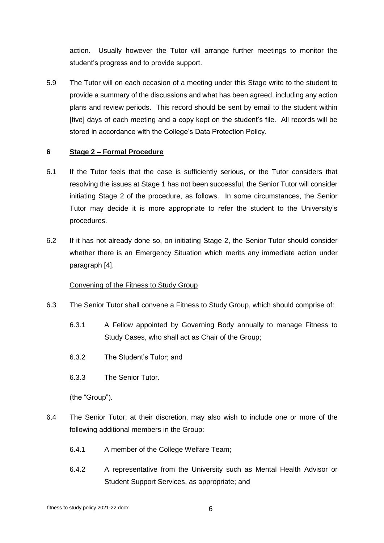action. Usually however the Tutor will arrange further meetings to monitor the student's progress and to provide support.

5.9 The Tutor will on each occasion of a meeting under this Stage write to the student to provide a summary of the discussions and what has been agreed, including any action plans and review periods. This record should be sent by email to the student within [five] days of each meeting and a copy kept on the student's file. All records will be stored in accordance with the College's Data Protection Policy.

#### **6 Stage 2 – Formal Procedure**

- 6.1 If the Tutor feels that the case is sufficiently serious, or the Tutor considers that resolving the issues at Stage 1 has not been successful, the Senior Tutor will consider initiating Stage 2 of the procedure, as follows. In some circumstances, the Senior Tutor may decide it is more appropriate to refer the student to the University's procedures.
- 6.2 If it has not already done so, on initiating Stage 2, the Senior Tutor should consider whether there is an Emergency Situation which merits any immediate action under paragraph [\[4\]](#page-5-0).

# Convening of the Fitness to Study Group

- 6.3 The Senior Tutor shall convene a Fitness to Study Group, which should comprise of:
	- 6.3.1 A Fellow appointed by Governing Body annually to manage Fitness to Study Cases, who shall act as Chair of the Group;
	- 6.3.2 The Student's Tutor; and
	- 6.3.3 The Senior Tutor.

(the "Group").

- 6.4 The Senior Tutor, at their discretion, may also wish to include one or more of the following additional members in the Group:
	- 6.4.1 A member of the College Welfare Team;
	- 6.4.2 A representative from the University such as Mental Health Advisor or Student Support Services, as appropriate; and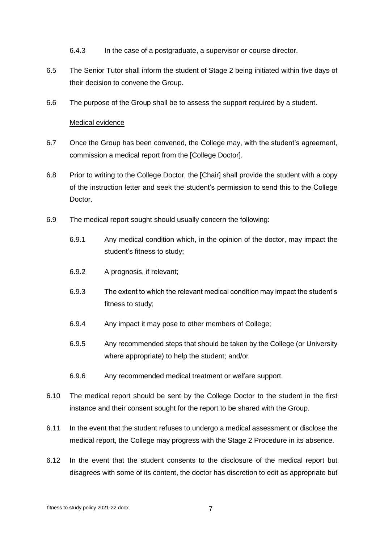- 6.4.3 In the case of a postgraduate, a supervisor or course director.
- 6.5 The Senior Tutor shall inform the student of Stage 2 being initiated within five days of their decision to convene the Group.
- 6.6 The purpose of the Group shall be to assess the support required by a student.

#### Medical evidence

- 6.7 Once the Group has been convened, the College may, with the student's agreement, commission a medical report from the [College Doctor].
- 6.8 Prior to writing to the College Doctor, the [Chair] shall provide the student with a copy of the instruction letter and seek the student's permission to send this to the College Doctor.
- 6.9 The medical report sought should usually concern the following:
	- 6.9.1 Any medical condition which, in the opinion of the doctor, may impact the student's fitness to study;
	- 6.9.2 A prognosis, if relevant;
	- 6.9.3 The extent to which the relevant medical condition may impact the student's fitness to study;
	- 6.9.4 Any impact it may pose to other members of College;
	- 6.9.5 Any recommended steps that should be taken by the College (or University where appropriate) to help the student; and/or
	- 6.9.6 Any recommended medical treatment or welfare support.
- 6.10 The medical report should be sent by the College Doctor to the student in the first instance and their consent sought for the report to be shared with the Group.
- 6.11 In the event that the student refuses to undergo a medical assessment or disclose the medical report, the College may progress with the Stage 2 Procedure in its absence.
- 6.12 In the event that the student consents to the disclosure of the medical report but disagrees with some of its content, the doctor has discretion to edit as appropriate but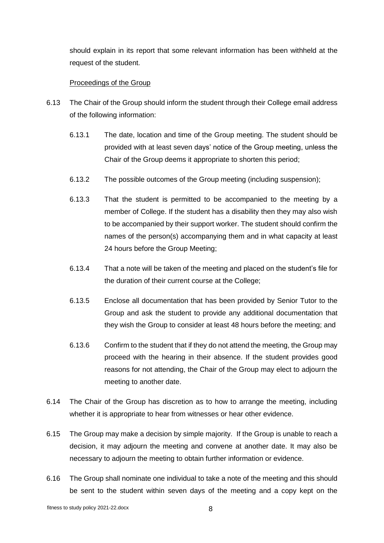should explain in its report that some relevant information has been withheld at the request of the student.

#### Proceedings of the Group

- 6.13 The Chair of the Group should inform the student through their College email address of the following information:
	- 6.13.1 The date, location and time of the Group meeting. The student should be provided with at least seven days' notice of the Group meeting, unless the Chair of the Group deems it appropriate to shorten this period;
	- 6.13.2 The possible outcomes of the Group meeting (including suspension);
	- 6.13.3 That the student is permitted to be accompanied to the meeting by a member of College. If the student has a disability then they may also wish to be accompanied by their support worker. The student should confirm the names of the person(s) accompanying them and in what capacity at least 24 hours before the Group Meeting;
	- 6.13.4 That a note will be taken of the meeting and placed on the student's file for the duration of their current course at the College;
	- 6.13.5 Enclose all documentation that has been provided by Senior Tutor to the Group and ask the student to provide any additional documentation that they wish the Group to consider at least 48 hours before the meeting; and
	- 6.13.6 Confirm to the student that if they do not attend the meeting, the Group may proceed with the hearing in their absence. If the student provides good reasons for not attending, the Chair of the Group may elect to adjourn the meeting to another date.
- 6.14 The Chair of the Group has discretion as to how to arrange the meeting, including whether it is appropriate to hear from witnesses or hear other evidence.
- 6.15 The Group may make a decision by simple majority. If the Group is unable to reach a decision, it may adjourn the meeting and convene at another date. It may also be necessary to adjourn the meeting to obtain further information or evidence.
- 6.16 The Group shall nominate one individual to take a note of the meeting and this should be sent to the student within seven days of the meeting and a copy kept on the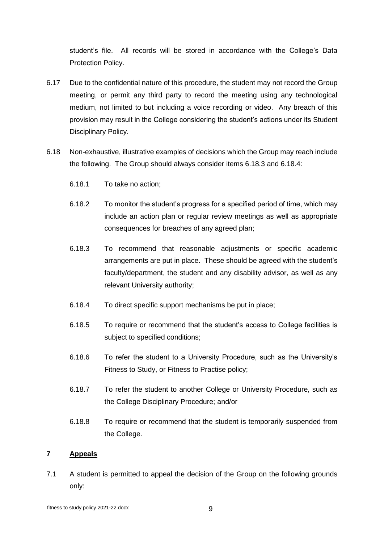student's file. All records will be stored in accordance with the College's Data Protection Policy.

- 6.17 Due to the confidential nature of this procedure, the student may not record the Group meeting, or permit any third party to record the meeting using any technological medium, not limited to but including a voice recording or video. Any breach of this provision may result in the College considering the student's actions under its Student Disciplinary Policy.
- <span id="page-10-1"></span><span id="page-10-0"></span>6.18 Non-exhaustive, illustrative examples of decisions which the Group may reach include the following. The Group should always consider items [6.18.3](#page-10-0) and [6.18.4:](#page-10-1)
	- 6.18.1 To take no action;
	- 6.18.2 To monitor the student's progress for a specified period of time, which may include an action plan or regular review meetings as well as appropriate consequences for breaches of any agreed plan;
	- 6.18.3 To recommend that reasonable adjustments or specific academic arrangements are put in place. These should be agreed with the student's faculty/department, the student and any disability advisor, as well as any relevant University authority;
	- 6.18.4 To direct specific support mechanisms be put in place;
	- 6.18.5 To require or recommend that the student's access to College facilities is subject to specified conditions;
	- 6.18.6 To refer the student to a University Procedure, such as the University's Fitness to Study, or Fitness to Practise policy;
	- 6.18.7 To refer the student to another College or University Procedure, such as the College Disciplinary Procedure; and/or
	- 6.18.8 To require or recommend that the student is temporarily suspended from the College.

# **7 Appeals**

7.1 A student is permitted to appeal the decision of the Group on the following grounds only: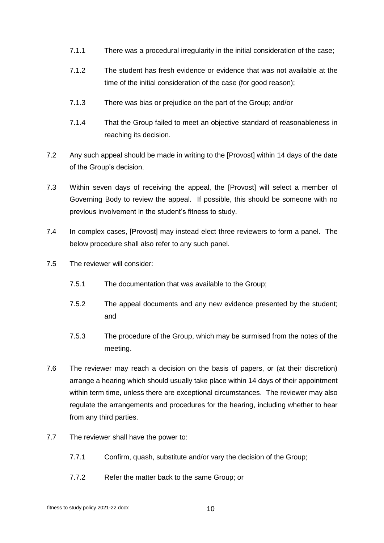- 7.1.1 There was a procedural irregularity in the initial consideration of the case;
- 7.1.2 The student has fresh evidence or evidence that was not available at the time of the initial consideration of the case (for good reason);
- 7.1.3 There was bias or prejudice on the part of the Group; and/or
- 7.1.4 That the Group failed to meet an objective standard of reasonableness in reaching its decision.
- 7.2 Any such appeal should be made in writing to the [Provost] within 14 days of the date of the Group's decision.
- 7.3 Within seven days of receiving the appeal, the [Provost] will select a member of Governing Body to review the appeal. If possible, this should be someone with no previous involvement in the student's fitness to study.
- 7.4 In complex cases, [Provost] may instead elect three reviewers to form a panel. The below procedure shall also refer to any such panel.
- 7.5 The reviewer will consider:
	- 7.5.1 The documentation that was available to the Group;
	- 7.5.2 The appeal documents and any new evidence presented by the student; and
	- 7.5.3 The procedure of the Group, which may be surmised from the notes of the meeting.
- 7.6 The reviewer may reach a decision on the basis of papers, or (at their discretion) arrange a hearing which should usually take place within 14 days of their appointment within term time, unless there are exceptional circumstances. The reviewer may also regulate the arrangements and procedures for the hearing, including whether to hear from any third parties.
- 7.7 The reviewer shall have the power to:
	- 7.7.1 Confirm, quash, substitute and/or vary the decision of the Group;
	- 7.7.2 Refer the matter back to the same Group; or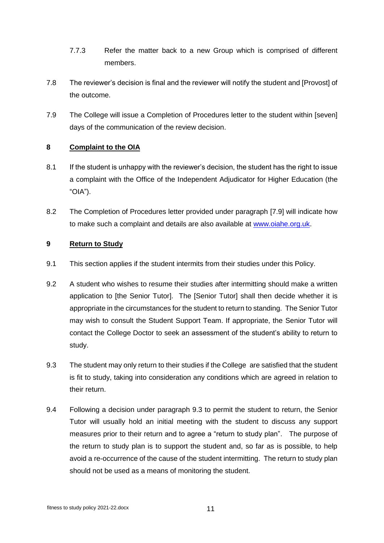- 7.7.3 Refer the matter back to a new Group which is comprised of different members.
- 7.8 The reviewer's decision is final and the reviewer will notify the student and [Provost] of the outcome.
- <span id="page-12-0"></span>7.9 The College will issue a Completion of Procedures letter to the student within [seven] days of the communication of the review decision.

# **8 Complaint to the OIA**

- 8.1 If the student is unhappy with the reviewer's decision, the student has the right to issue a complaint with the Office of the Independent Adjudicator for Higher Education (the "OIA").
- 8.2 The Completion of Procedures letter provided under paragraph [\[7.9\]](#page-12-0) will indicate how to make such a complaint and details are also available at [www.oiahe.org.uk.](http://www.oiahe.org.uk/)

# **9 Return to Study**

- 9.1 This section applies if the student intermits from their studies under this Policy.
- 9.2 A student who wishes to resume their studies after intermitting should make a written application to [the Senior Tutor]. The [Senior Tutor] shall then decide whether it is appropriate in the circumstances for the student to return to standing. The Senior Tutor may wish to consult the Student Support Team. If appropriate, the Senior Tutor will contact the College Doctor to seek an assessment of the student's ability to return to study.
- 9.3 The student may only return to their studies if the College are satisfied that the student is fit to study, taking into consideration any conditions which are agreed in relation to their return.
- 9.4 Following a decision under paragraph 9.3 to permit the student to return, the Senior Tutor will usually hold an initial meeting with the student to discuss any support measures prior to their return and to agree a "return to study plan". The purpose of the return to study plan is to support the student and, so far as is possible, to help avoid a re-occurrence of the cause of the student intermitting. The return to study plan should not be used as a means of monitoring the student.